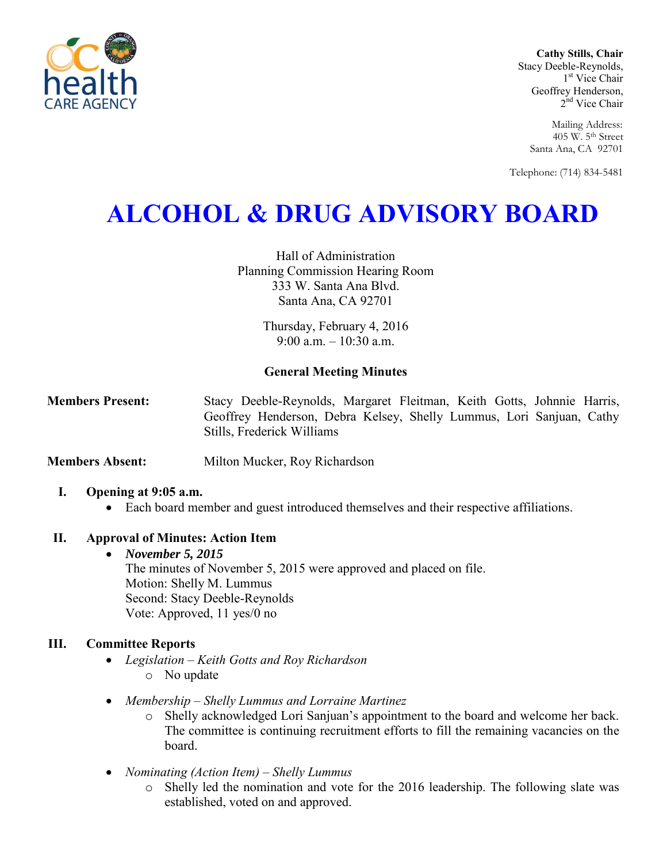

**Cathy Stills, Chair** Stacy Deeble-Reynolds, 1 st Vice Chair Geoffrey Henderson, 2<sup>nd</sup> Vice Chair

> Mailing Address: 405 W. 5th Street Santa Ana, CA 92701

Telephone: (714) 834-5481

# **ALCOHOL & DRUG ADVISORY BOARD**

Hall of Administration Planning Commission Hearing Room 333 W. Santa Ana Blvd. Santa Ana, CA 92701

> Thursday, February 4, 2016 9:00 a.m. – 10:30 a.m.

# **General Meeting Minutes**

**Members Present:** Stacy Deeble-Reynolds, Margaret Fleitman, Keith Gotts, Johnnie Harris, Geoffrey Henderson, Debra Kelsey, Shelly Lummus, Lori Sanjuan, Cathy Stills, Frederick Williams

**Members Absent:** Milton Mucker, Roy Richardson

### **I. Opening at 9:05 a.m.**

Each board member and guest introduced themselves and their respective affiliations.

### **II. Approval of Minutes: Action Item**

 *November 5, 2015*  The minutes of November 5, 2015 were approved and placed on file. Motion: Shelly M. Lummus Second: Stacy Deeble-Reynolds Vote: Approved, 11 yes/0 no

# **III. Committee Reports**

- *Legislation – Keith Gotts and Roy Richardson*  o No update
- *Membership – Shelly Lummus and Lorraine Martinez* 
	- o Shelly acknowledged Lori Sanjuan's appointment to the board and welcome her back. The committee is continuing recruitment efforts to fill the remaining vacancies on the board.
- *Nominating (Action Item) – Shelly Lummus* 
	- o Shelly led the nomination and vote for the 2016 leadership. The following slate was established, voted on and approved.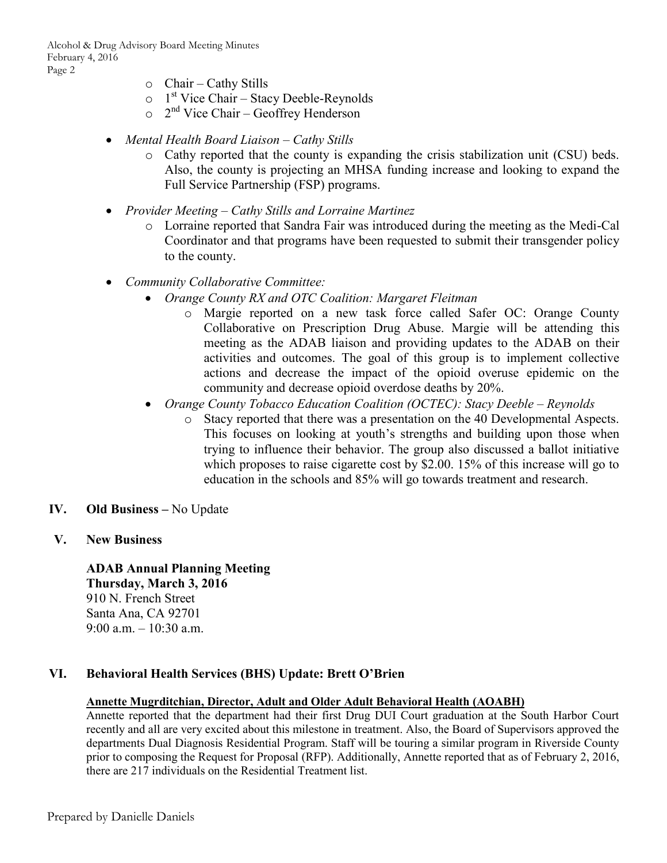Alcohol & Drug Advisory Board Meeting Minutes February 4, 2016 Page 2

- $\circ$  Chair Cathy Stills
- $\circ$  1<sup>st</sup> Vice Chair Stacy Deeble-Reynolds
- $\circ$  2<sup>nd</sup> Vice Chair Geoffrey Henderson
- *Mental Health Board Liaison Cathy Stills* 
	- o Cathy reported that the county is expanding the crisis stabilization unit (CSU) beds. Also, the county is projecting an MHSA funding increase and looking to expand the Full Service Partnership (FSP) programs.
- *Provider Meeting Cathy Stills and Lorraine Martinez* 
	- o Lorraine reported that Sandra Fair was introduced during the meeting as the Medi-Cal Coordinator and that programs have been requested to submit their transgender policy to the county.
- *Community Collaborative Committee:* 
	- *Orange County RX and OTC Coalition: Margaret Fleitman* 
		- o Margie reported on a new task force called Safer OC: Orange County Collaborative on Prescription Drug Abuse. Margie will be attending this meeting as the ADAB liaison and providing updates to the ADAB on their activities and outcomes. The goal of this group is to implement collective actions and decrease the impact of the opioid overuse epidemic on the community and decrease opioid overdose deaths by 20%.
	- *Orange County Tobacco Education Coalition (OCTEC): Stacy Deeble Reynolds* 
		- o Stacy reported that there was a presentation on the 40 Developmental Aspects. This focuses on looking at youth's strengths and building upon those when trying to influence their behavior. The group also discussed a ballot initiative which proposes to raise cigarette cost by \$2.00. 15% of this increase will go to education in the schools and 85% will go towards treatment and research.
- **IV. Old Business** No Update
- **V. New Business**

**ADAB Annual Planning Meeting Thursday, March 3, 2016**  910 N. French Street Santa Ana, CA 92701 9:00 a.m. – 10:30 a.m.

### **VI. Behavioral Health Services (BHS) Update: Brett O'Brien**

## **Annette Mugrditchian, Director, Adult and Older Adult Behavioral Health (AOABH)**

Annette reported that the department had their first Drug DUI Court graduation at the South Harbor Court recently and all are very excited about this milestone in treatment. Also, the Board of Supervisors approved the departments Dual Diagnosis Residential Program. Staff will be touring a similar program in Riverside County prior to composing the Request for Proposal (RFP). Additionally, Annette reported that as of February 2, 2016, there are 217 individuals on the Residential Treatment list.